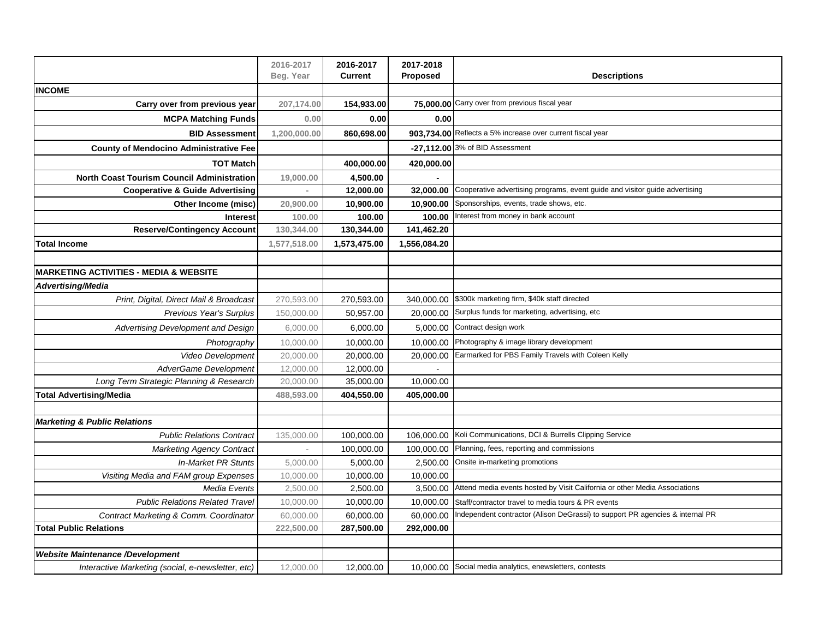|                                                   | 2016-2017<br>Beg. Year | 2016-2017<br><b>Current</b> | 2017-2018<br>Proposed | <b>Descriptions</b>                                                           |
|---------------------------------------------------|------------------------|-----------------------------|-----------------------|-------------------------------------------------------------------------------|
| <b>INCOME</b>                                     |                        |                             |                       |                                                                               |
| Carry over from previous year                     | 207,174.00             | 154,933.00                  |                       | 75,000.00 Carry over from previous fiscal year                                |
| <b>MCPA Matching Funds</b>                        | 0.00                   | 0.00                        | 0.00                  |                                                                               |
| <b>BID Assessment</b>                             | 1,200,000.00           | 860,698.00                  |                       | 903,734.00 Reflects a 5% increase over current fiscal year                    |
| <b>County of Mendocino Administrative Fee</b>     |                        |                             |                       | -27,112.00 3% of BID Assessment                                               |
| <b>TOT Match</b>                                  |                        | 400,000.00                  | 420,000.00            |                                                                               |
| <b>North Coast Tourism Council Administration</b> | 19,000.00              | 4,500.00                    |                       |                                                                               |
| <b>Cooperative &amp; Guide Advertising</b>        |                        | 12,000.00                   | 32,000.00             | Cooperative advertising programs, event guide and visitor guide advertising   |
| Other Income (misc)                               | 20,900.00              | 10,900.00                   | 10,900.00             | Sponsorships, events, trade shows, etc.                                       |
| <b>Interest</b>                                   | 100.00                 | 100.00                      | 100.00                | Interest from money in bank account                                           |
| <b>Reserve/Contingency Account</b>                | 130,344.00             | 130,344.00                  | 141,462.20            |                                                                               |
| <b>Total Income</b>                               | 1,577,518.00           | 1,573,475.00                | 1,556,084.20          |                                                                               |
|                                                   |                        |                             |                       |                                                                               |
| <b>MARKETING ACTIVITIES - MEDIA &amp; WEBSITE</b> |                        |                             |                       |                                                                               |
| <b>Advertising/Media</b>                          |                        |                             |                       |                                                                               |
| Print, Digital, Direct Mail & Broadcast           | 270,593.00             | 270,593.00                  | 340,000.00            | \$300k marketing firm, \$40k staff directed                                   |
| <b>Previous Year's Surplus</b>                    | 150,000.00             | 50,957.00                   | 20,000.00             | Surplus funds for marketing, advertising, etc                                 |
| <b>Advertising Development and Design</b>         | 6,000.00               | 6,000.00                    | 5,000.00              | Contract design work                                                          |
| Photography                                       | 10,000.00              | 10,000.00                   | 10,000.00             | Photography & image library development                                       |
| <b>Video Development</b>                          | 20,000.00              | 20,000.00                   | 20,000.00             | Earmarked for PBS Family Travels with Coleen Kelly                            |
| AdverGame Development                             | 12,000.00              | 12,000.00                   |                       |                                                                               |
| Long Term Strategic Planning & Research           | 20,000.00              | 35,000.00                   | 10,000.00             |                                                                               |
| <b>Total Advertising/Media</b>                    | 488,593.00             | 404,550.00                  | 405,000.00            |                                                                               |
|                                                   |                        |                             |                       |                                                                               |
| <b>Marketing &amp; Public Relations</b>           |                        |                             |                       |                                                                               |
| <b>Public Relations Contract</b>                  | 135,000.00             | 100,000.00                  | 106,000.00            | Koli Communications, DCI & Burrells Clipping Service                          |
| <b>Marketing Agency Contract</b>                  |                        | 100,000.00                  | 100,000.00            | Planning, fees, reporting and commissions                                     |
| <b>In-Market PR Stunts</b>                        | 5,000.00               | 5,000.00                    | 2,500.00              | Onsite in-marketing promotions                                                |
| Visiting Media and FAM group Expenses             | 10,000.00              | 10,000.00                   | 10,000.00             |                                                                               |
| <b>Media Events</b>                               | 2,500.00               | 2,500.00                    | 3,500.00              | Attend media events hosted by Visit California or other Media Associations    |
| <b>Public Relations Related Travel</b>            | 10,000.00              | 10,000.00                   | 10,000.00             | Staff/contractor travel to media tours & PR events                            |
| Contract Marketing & Comm. Coordinator            | 60,000.00              | 60,000.00                   | 60,000.00             | Independent contractor (Alison DeGrassi) to support PR agencies & internal PR |
| <b>Total Public Relations</b>                     | 222,500.00             | 287,500.00                  | 292,000.00            |                                                                               |
|                                                   |                        |                             |                       |                                                                               |
| <b>Website Maintenance /Development</b>           |                        |                             |                       |                                                                               |
| Interactive Marketing (social, e-newsletter, etc) | 12,000.00              | 12,000.00                   |                       | 10,000.00 Social media analytics, enewsletters, contests                      |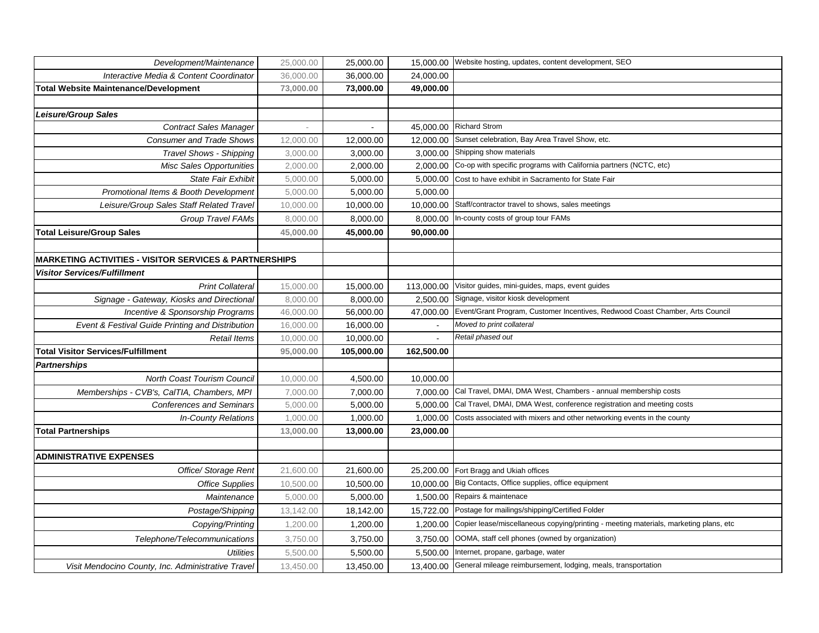| Development/Maintenance                                           | 25,000.00 | 25,000.00      |            | 15,000.00 Website hosting, updates, content development, SEO                          |
|-------------------------------------------------------------------|-----------|----------------|------------|---------------------------------------------------------------------------------------|
| Interactive Media & Content Coordinator                           | 36,000.00 | 36,000.00      | 24,000.00  |                                                                                       |
| <b>Total Website Maintenance/Development</b>                      | 73,000.00 | 73,000.00      | 49,000.00  |                                                                                       |
|                                                                   |           |                |            |                                                                                       |
| Leisure/Group Sales                                               |           |                |            |                                                                                       |
| <b>Contract Sales Manager</b>                                     | $\sim$    | $\blacksquare$ | 45.000.00  | <b>Richard Strom</b>                                                                  |
| <b>Consumer and Trade Shows</b>                                   | 12,000.00 | 12,000.00      | 12,000.00  | Sunset celebration, Bay Area Travel Show, etc.                                        |
| <b>Travel Shows - Shipping</b>                                    | 3,000.00  | 3,000.00       | 3,000.00   | Shipping show materials                                                               |
| <b>Misc Sales Opportunities</b>                                   | 2,000.00  | 2,000.00       | 2,000.00   | Co-op with specific programs with California partners (NCTC, etc)                     |
| <b>State Fair Exhibit</b>                                         | 5,000.00  | 5,000.00       | 5,000.00   | Cost to have exhibit in Sacramento for State Fair                                     |
| Promotional Items & Booth Development                             | 5,000.00  | 5,000.00       | 5,000.00   |                                                                                       |
| Leisure/Group Sales Staff Related Travel                          | 10,000.00 | 10,000.00      | 10,000.00  | Staff/contractor travel to shows, sales meetings                                      |
| Group Travel FAMs                                                 | 8,000.00  | 8,000.00       | 8,000.00   | In-county costs of group tour FAMs                                                    |
| <b>Total Leisure/Group Sales</b>                                  | 45,000.00 | 45,000.00      | 90,000.00  |                                                                                       |
|                                                                   |           |                |            |                                                                                       |
| <b>MARKETING ACTIVITIES - VISITOR SERVICES &amp; PARTNERSHIPS</b> |           |                |            |                                                                                       |
| <b>Visitor Services/Fulfillment</b>                               |           |                |            |                                                                                       |
| <b>Print Collateral</b>                                           | 15,000.00 | 15,000.00      | 113,000.00 | Visitor guides, mini-guides, maps, event guides                                       |
| Signage - Gateway, Kiosks and Directional                         | 8,000.00  | 8,000.00       | 2,500.00   | Signage, visitor kiosk development                                                    |
| Incentive & Sponsorship Programs                                  | 46,000.00 | 56,000.00      | 47,000.00  | Event/Grant Program, Customer Incentives, Redwood Coast Chamber, Arts Council         |
| Event & Festival Guide Printing and Distribution                  | 16,000.00 | 16,000.00      |            | Moved to print collateral                                                             |
| <b>Retail Items</b>                                               | 10,000.00 | 10,000.00      |            | Retail phased out                                                                     |
| <b>Total Visitor Services/Fulfillment</b>                         | 95,000.00 | 105,000.00     | 162,500.00 |                                                                                       |
| <b>Partnerships</b>                                               |           |                |            |                                                                                       |
| North Coast Tourism Council                                       | 10,000.00 | 4,500.00       | 10,000.00  |                                                                                       |
| Memberships - CVB's, CalTIA, Chambers, MPI                        | 7,000.00  | 7,000.00       | 7.000.00   | Cal Travel, DMAI, DMA West, Chambers - annual membership costs                        |
| <b>Conferences and Seminars</b>                                   | 5,000.00  | 5,000.00       | 5,000.00   | Cal Travel, DMAI, DMA West, conference registration and meeting costs                 |
| <b>In-County Relations</b>                                        | 1,000.00  | 1,000.00       | 1,000.00   | Costs associated with mixers and other networking events in the county                |
| <b>Total Partnerships</b>                                         | 13,000.00 | 13,000.00      | 23,000.00  |                                                                                       |
|                                                                   |           |                |            |                                                                                       |
| <b>ADMINISTRATIVE EXPENSES</b>                                    |           |                |            |                                                                                       |
| Office/ Storage Rent                                              | 21,600.00 | 21,600.00      | 25,200.00  | Fort Bragg and Ukiah offices                                                          |
| <b>Office Supplies</b>                                            | 10,500.00 | 10,500.00      | 10,000.00  | Big Contacts, Office supplies, office equipment                                       |
| Maintenance                                                       | 5,000.00  | 5,000.00       | 1,500.00   | Repairs & maintenace                                                                  |
| Postage/Shipping                                                  | 13,142.00 | 18,142.00      | 15,722.00  | Postage for mailings/shipping/Certified Folder                                        |
| Copying/Printing                                                  | 1,200.00  | 1,200.00       | 1,200.00   | Copier lease/miscellaneous copying/printing - meeting materials, marketing plans, etc |
| Telephone/Telecommunications                                      | 3,750.00  | 3,750.00       | 3,750.00   | OOMA, staff cell phones (owned by organization)                                       |
| <b>Utilities</b>                                                  | 5,500.00  | 5,500.00       | 5,500.00   | Internet, propane, garbage, water                                                     |
| Visit Mendocino County, Inc. Administrative Travel                | 13,450.00 | 13,450.00      | 13,400.00  | General mileage reimbursement, lodging, meals, transportation                         |
|                                                                   |           |                |            |                                                                                       |